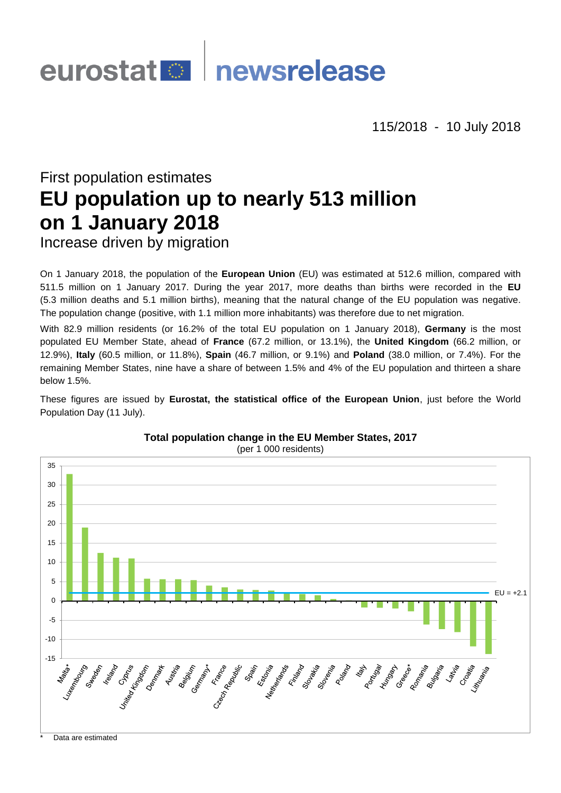# eurostat **Demokratische Executers**

115/2018 - 10 July 2018

# First population estimates **EU population up to nearly 513 million on 1 January 2018**

Increase driven by migration

On 1 January 2018, the population of the **European Union** (EU) was estimated at 512.6 million, compared with 511.5 million on 1 January 2017. During the year 2017, more deaths than births were recorded in the **EU** (5.3 million deaths and 5.1 million births), meaning that the natural change of the EU population was negative. The population change (positive, with 1.1 million more inhabitants) was therefore due to net migration.

With 82.9 million residents (or 16.2% of the total EU population on 1 January 2018), **Germany** is the most populated EU Member State, ahead of **France** (67.2 million, or 13.1%), the **United Kingdom** (66.2 million, or 12.9%), **Italy** (60.5 million, or 11.8%), **Spain** (46.7 million, or 9.1%) and **Poland** (38.0 million, or 7.4%). For the remaining Member States, nine have a share of between 1.5% and 4% of the EU population and thirteen a share below 1.5%.

These figures are issued by **Eurostat, the statistical office of the European Union**, just before the World Population Day (11 July).

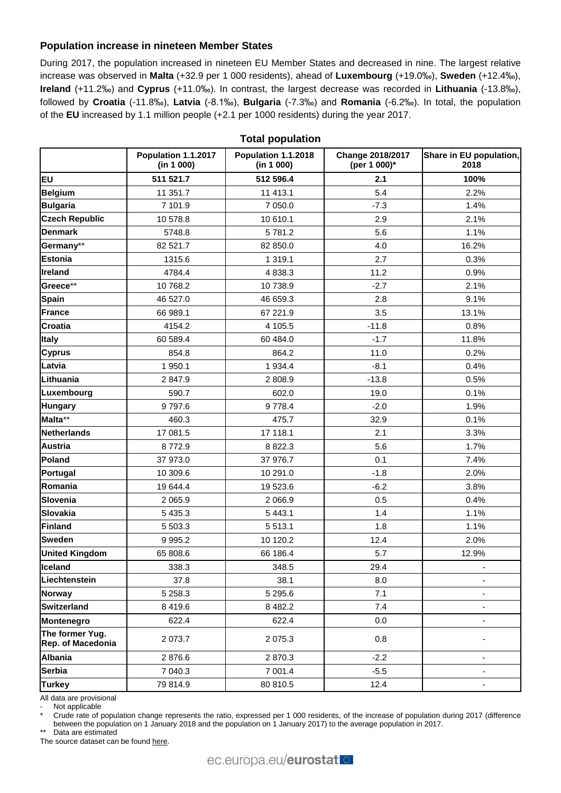# **Population increase in nineteen Member States**

During 2017, the population increased in nineteen EU Member States and decreased in nine. The largest relative increase was observed in **Malta** (+32.9 per 1 000 residents), ahead of **Luxembourg** (+19.0‰), **Sweden** (+12.4‰), **Ireland** (+11.2‰) and **Cyprus** (+11.0‰). In contrast, the largest decrease was recorded in **Lithuania** (-13.8‰), followed by **Croatia** (-11.8‰), **Latvia** (-8.1‰), **Bulgaria** (-7.3‰) and **Romania** (-6.2‰). In total, the population of the **EU** increased by 1.1 million people (+2.1 per 1000 residents) during the year 2017.

|                                      | Population 1.1.2017<br>(in 1 000) | Population 1.1.2018<br>(in 1 000) | Change 2018/2017<br>(per 1 000)* | Share in EU population,<br>2018 |  |
|--------------------------------------|-----------------------------------|-----------------------------------|----------------------------------|---------------------------------|--|
| <b>EU</b>                            | 511 521.7                         | 512 596.4                         | 2.1                              | 100%                            |  |
| <b>Belgium</b>                       | 11 351.7                          | 11 413.1                          | 5.4                              | 2.2%                            |  |
| <b>Bulgaria</b>                      | 7 101.9                           | 7 050.0                           | $-7.3$                           | 1.4%                            |  |
| <b>Czech Republic</b>                | 10 578.8                          | 10 610.1                          | 2.9                              | 2.1%                            |  |
| <b>Denmark</b>                       | 5748.8                            | 5781.2                            | 5.6                              | 1.1%                            |  |
| Germany**                            | 82 521.7                          | 82 850.0                          | 4.0                              | 16.2%                           |  |
| <b>Estonia</b>                       | 1315.6                            | 1 319.1                           | 2.7                              | 0.3%                            |  |
| Ireland                              | 4784.4                            | 4 8 38.3                          | 11.2                             | 0.9%                            |  |
| Greece**                             | 10 768.2                          | 10738.9                           | $-2.7$                           | 2.1%                            |  |
| <b>Spain</b>                         | 46 527.0                          | 46 659.3                          | 2.8                              | 9.1%                            |  |
| France                               | 66 989.1                          | 67 221.9                          | 3.5                              | 13.1%                           |  |
| <b>Croatia</b>                       | 4154.2                            | 4 105.5                           | $-11.8$                          | 0.8%                            |  |
| <b>Italy</b>                         | 60 589.4                          | 60 484.0                          | $-1.7$                           | 11.8%                           |  |
| <b>Cyprus</b>                        | 854.8                             | 864.2                             | 11.0                             | 0.2%                            |  |
| Latvia                               | 1 950.1                           | 1 9 3 4 . 4                       | $-8.1$                           | 0.4%                            |  |
| Lithuania                            | 2847.9                            | 2808.9                            | $-13.8$                          | 0.5%                            |  |
| Luxembourg                           | 590.7                             | 602.0                             | 19.0                             | 0.1%                            |  |
| <b>Hungary</b>                       | 9797.6                            | 9778.4                            | $-2.0$                           | 1.9%                            |  |
| Malta**                              | 460.3                             | 475.7                             | 32.9                             | 0.1%                            |  |
| <b>Netherlands</b>                   | 17 081.5                          | 17 118.1                          | 2.1                              | 3.3%                            |  |
| <b>Austria</b>                       | 8772.9                            | 8 8 2 2.3                         | 5.6                              | 1.7%                            |  |
| Poland                               | 37 973.0                          | 37 976.7                          | 0.1                              | 7.4%                            |  |
| Portugal                             | 10 309.6                          | 10 291.0                          | $-1.8$                           | 2.0%                            |  |
| Romania                              | 19 644.4                          | 19 523.6                          | $-6.2$                           | 3.8%                            |  |
| Slovenia                             | 2 0 6 5.9                         | 2 0 66.9                          | 0.5                              | 0.4%                            |  |
| <b>Slovakia</b>                      | 5 4 3 5.3                         | 5 4 4 3.1                         | 1.4                              | 1.1%                            |  |
| <b>Finland</b>                       | 5 503.3                           | 5 5 1 3.1                         | 1.8                              | 1.1%                            |  |
| <b>Sweden</b>                        | 9995.2                            | 10 120.2                          | 12.4                             | 2.0%                            |  |
| <b>United Kingdom</b>                | 65 808.6                          | 66 186.4                          | 5.7                              | 12.9%                           |  |
| Iceland                              | 338.3                             | 348.5                             | 29.4                             |                                 |  |
| Liechtenstein                        | 37.8                              | 38.1                              | 8.0                              |                                 |  |
| <b>Norway</b>                        | 5 2 5 8 . 3                       | 5 2 9 5 . 6                       | 7.1                              |                                 |  |
| <b>Switzerland</b>                   | 8 4 1 9 . 6                       | 8 4 8 2.2                         | 7.4                              |                                 |  |
| Montenegro                           | 622.4                             | 622.4                             | 0.0                              |                                 |  |
| The former Yug.<br>Rep. of Macedonia | 2 0 7 3.7                         | 2 0 7 5 . 3                       | 0.8                              |                                 |  |
| <b>Albania</b>                       | 2876.6                            | 2870.3                            | $-2.2$                           |                                 |  |
| <b>Serbia</b>                        | 7 040.3                           | 7 001.4                           | $-5.5$                           | ۰                               |  |
| <b>Turkey</b>                        | 79 814.9                          | 80 810.5                          | 12.4                             |                                 |  |

**Total population**

All data are provisional

Not applicable

Crude rate of population change represents the ratio, expressed per 1 000 residents, of the increase of population during 2017 (difference between the population on 1 January 2018 and the population on 1 January 2017) to the average population in 2017.

\*\* Data are estimated

The source dataset can be foun[d here.](http://appsso.eurostat.ec.europa.eu/nui/show.do?query=BOOKMARK_DS-054722_QID_-433CD987_UID_-3F171EB0&layout=INDIC_DE,L,X,0;TIME,C,X,1;GEO,L,Y,0;INDICATORS,C,Z,0;&zSelection=DS-054722INDICATORS,OBS_FLAG;&rankName1=INDICATORS_1_2_-1_2&rankName2=INDIC-DE_1_2_0_0&rankName3=TIME_1_0_1_0&rankName4=GEO_1_2_0_1&rStp=&cStp=&rDCh=&cDCh=&rDM=true&cDM=true&footnes=false&empty=false&wai=false&time_mode=ROLLING&time_most_recent=true&lang=EN&cfo=%23%23%23%2C%23%23%23.%23%23%23)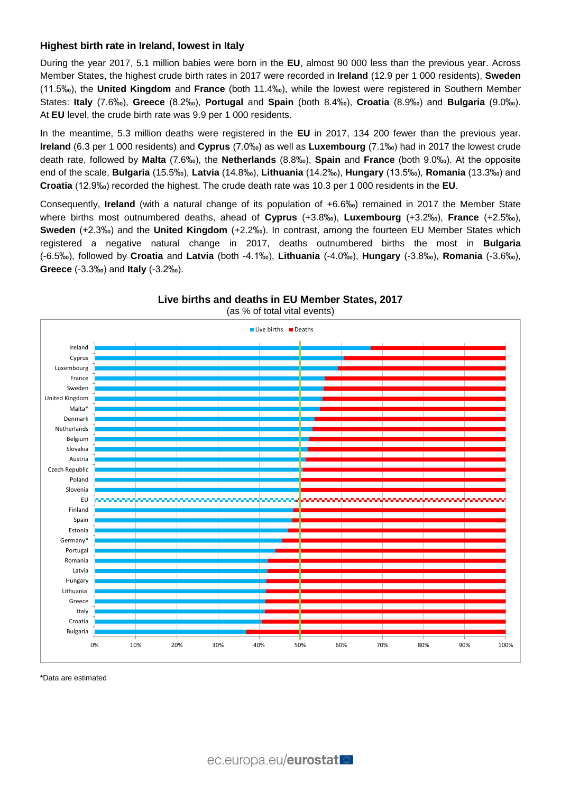## **Highest birth rate in Ireland, lowest in Italy**

During the year 2017, 5.1 million babies were born in the **EU**, almost 90 000 less than the previous year. Across Member States, the highest crude birth rates in 2017 were recorded in **Ireland** (12.9 per 1 000 residents), **Sweden** (11.5‰), the **United Kingdom** and **France** (both 11.4‰), while the lowest were registered in Southern Member States: **Italy** (7.6‰), **Greece** (8.2‰), **Portugal** and **Spain** (both 8.4‰), **Croatia** (8.9‰) and **Bulgaria** (9.0‰). At **EU** level, the crude birth rate was 9.9 per 1 000 residents.

In the meantime, 5.3 million deaths were registered in the **EU** in 2017, 134 200 fewer than the previous year. **Ireland** (6.3 per 1 000 residents) and **Cyprus** (7.0‰) as well as **Luxembourg** (7.1‰) had in 2017 the lowest crude death rate, followed by **Malta** (7.6‰), the **Netherlands** (8.8‰), **Spain** and **France** (both 9.0‰). At the opposite end of the scale, **Bulgaria** (15.5‰), **Latvia** (14.8‰), **Lithuania** (14.2‰), **Hungary** (13.5‰), **Romania** (13.3‰) and **Croatia** (12.9‰) recorded the highest. The crude death rate was 10.3 per 1 000 residents in the **EU**.

Consequently, **Ireland** (with a natural change of its population of +6.6‰) remained in 2017 the Member State where births most outnumbered deaths, ahead of **Cyprus** (+3.8‰), **Luxembourg** (+3.2‰), **France** (+2.5‰), **Sweden** (+2.3‰) and the **United Kingdom** (+2.2‰). In contrast, among the fourteen EU Member States which registered a negative natural change in 2017, deaths outnumbered births the most in **Bulgaria** (-6.5‰), followed by **Croatia** and **Latvia** (both -4.1‰), **Lithuania** (-4.0‰), **Hungary** (-3.8‰), **Romania** (-3.6‰), **Greece** (-3.3‰) and **Italy** (-3.2‰).



**Live births and deaths in EU Member States, 2017**

\*Data are estimated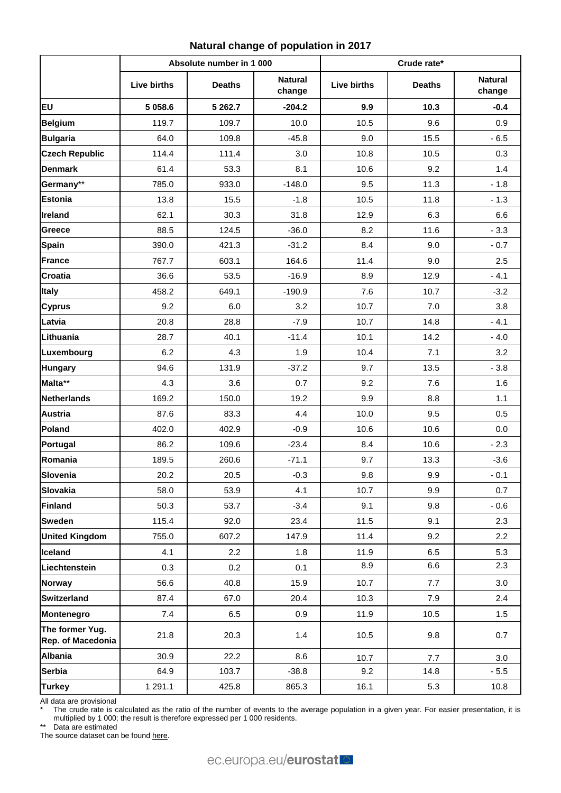| Natural change of population in 2017 |
|--------------------------------------|
|--------------------------------------|

|                                      | Absolute number in 1 000 |               |                          | Crude rate*        |               |                          |
|--------------------------------------|--------------------------|---------------|--------------------------|--------------------|---------------|--------------------------|
|                                      | <b>Live births</b>       | <b>Deaths</b> | <b>Natural</b><br>change | <b>Live births</b> | <b>Deaths</b> | <b>Natural</b><br>change |
| <b>EU</b>                            | 5 0 58.6                 | 5 262.7       | $-204.2$                 | 9.9                | 10.3          | $-0.4$                   |
| <b>Belgium</b>                       | 119.7                    | 109.7         | 10.0                     | 10.5               | 9.6           | 0.9                      |
| <b>Bulgaria</b>                      | 64.0                     | 109.8         | $-45.8$                  | 9.0                | 15.5          | $-6.5$                   |
| <b>Czech Republic</b>                | 114.4                    | 111.4         | 3.0                      | 10.8               | 10.5          | 0.3                      |
| <b>Denmark</b>                       | 61.4                     | 53.3          | 8.1                      | 10.6               | 9.2           | 1.4                      |
| Germany**                            | 785.0                    | 933.0         | $-148.0$                 | 9.5                | 11.3          | $-1.8$                   |
| <b>Estonia</b>                       | 13.8                     | 15.5          | $-1.8$                   | 10.5               | 11.8          | $-1.3$                   |
| Ireland                              | 62.1                     | 30.3          | 31.8                     | 12.9               | 6.3           | 6.6                      |
| Greece                               | 88.5                     | 124.5         | $-36.0$                  | 8.2                | 11.6          | $-3.3$                   |
| <b>Spain</b>                         | 390.0                    | 421.3         | $-31.2$                  | 8.4                | 9.0           | $-0.7$                   |
| <b>France</b>                        | 767.7                    | 603.1         | 164.6                    | 11.4               | 9.0           | 2.5                      |
| Croatia                              | 36.6                     | 53.5          | $-16.9$                  | 8.9                | 12.9          | $-4.1$                   |
| <b>Italy</b>                         | 458.2                    | 649.1         | $-190.9$                 | 7.6                | 10.7          | $-3.2$                   |
| <b>Cyprus</b>                        | 9.2                      | 6.0           | 3.2                      | 10.7               | 7.0           | 3.8                      |
| Latvia                               | 20.8                     | 28.8          | $-7.9$                   | 10.7               | 14.8          | $-4.1$                   |
| Lithuania                            | 28.7                     | 40.1          | $-11.4$                  | 10.1               | 14.2          | $-4.0$                   |
| Luxembourg                           | 6.2                      | 4.3           | 1.9                      | 10.4               | 7.1           | 3.2                      |
| <b>Hungary</b>                       | 94.6                     | 131.9         | $-37.2$                  | 9.7                | 13.5          | $-3.8$                   |
| Malta**                              | 4.3                      | 3.6           | 0.7                      | 9.2                | 7.6           | 1.6                      |
| <b>Netherlands</b>                   | 169.2                    | 150.0         | 19.2                     | 9.9                | 8.8           | 1.1                      |
| <b>Austria</b>                       | 87.6                     | 83.3          | 4.4                      | 10.0               | 9.5           | 0.5                      |
| Poland                               | 402.0                    | 402.9         | $-0.9$                   | 10.6               | 10.6          | 0.0                      |
| Portugal                             | 86.2                     | 109.6         | $-23.4$                  | 8.4                | 10.6          | $-2.3$                   |
| Romania                              | 189.5                    | 260.6         | $-71.1$                  | 9.7                | 13.3          | $-3.6$                   |
| Slovenia                             | 20.2                     | 20.5          | $-0.3$                   | 9.8                | 9.9           | $-0.1$                   |
| <b>Slovakia</b>                      | 58.0                     | 53.9          | 4.1                      | 10.7               | 9.9           | 0.7                      |
| <b>Finland</b>                       | 50.3                     | 53.7          | $-3.4$                   | 9.1                | 9.8           | $-0.6$                   |
| <b>Sweden</b>                        | 115.4                    | 92.0          | 23.4                     | 11.5               | 9.1           | 2.3                      |
| <b>United Kingdom</b>                | 755.0                    | 607.2         | 147.9                    | 11.4               | 9.2           | 2.2                      |
| Iceland                              | 4.1                      | 2.2           | 1.8                      | 11.9               | 6.5           | 5.3                      |
| Liechtenstein                        | 0.3                      | 0.2           | 0.1                      | 8.9                | 6.6           | 2.3                      |
| <b>Norway</b>                        | 56.6                     | 40.8          | 15.9                     | 10.7               | 7.7           | 3.0                      |
| <b>Switzerland</b>                   | 87.4                     | 67.0          | 20.4                     | 10.3               | 7.9           | 2.4                      |
| <b>Montenegro</b>                    | 7.4                      | 6.5           | 0.9                      | 11.9               | 10.5          | 1.5                      |
| The former Yug.<br>Rep. of Macedonia | 21.8                     | 20.3          | 1.4                      | 10.5               | 9.8           | 0.7                      |
| <b>Albania</b>                       | 30.9                     | 22.2          | 8.6                      | 10.7               | 7.7           | 3.0                      |
| <b>Serbia</b>                        | 64.9                     | 103.7         | $-38.8$                  | 9.2                | 14.8          | $-5.5$                   |
| <b>Turkey</b>                        | 1 2 9 1 . 1              | 425.8         | 865.3                    | 16.1               | 5.3           | 10.8                     |

All data are provisional

\* The crude rate is calculated as the ratio of the number of events to the average population in a given year. For easier presentation, it is multiplied by 1 000; the result is therefore expressed per 1 000 residents.

\*\* Data are estimated

The source dataset can be foun[d here.](http://appsso.eurostat.ec.europa.eu/nui/show.do?query=BOOKMARK_DS-054722_QID_-13C86606_UID_-3F171EB0&layout=INDIC_DE,L,X,0;TIME,C,X,1;GEO,L,Y,0;INDICATORS,C,Z,0;&zSelection=DS-054722INDICATORS,OBS_FLAG;&rankName1=INDICATORS_1_2_-1_2&rankName2=INDIC-DE_1_2_0_0&rankName3=TIME_1_0_1_0&rankName4=GEO_1_2_0_1&rStp=&cStp=&rDCh=&cDCh=&rDM=true&cDM=true&footnes=false&empty=false&wai=false&time_mode=ROLLING&time_most_recent=true&lang=EN&cfo=%23%23%23%2C%23%23%23.%23%23%23)